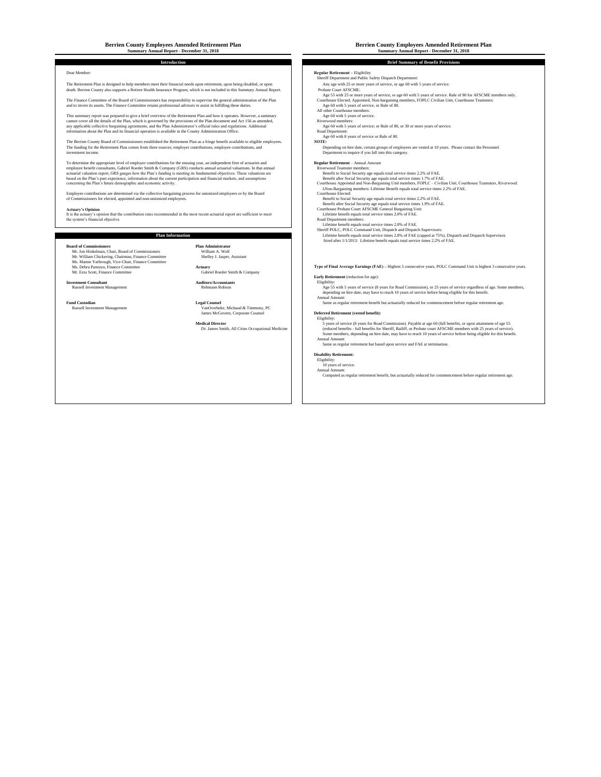# **Berrien County Employees Amended Retirement Plan Berrien County Employees Amended Retirement Plan**

The Retirement Plan is designed to help members meet their financial needs upon retirement, upon being disabled, or upon Any age with 25 or more years of service, or age 60 with 5 years of service. death. Berrien County also supports a Retiree Health Insurance Program, which is not included in this Summary Annual Report.

The Finance Committee of the Board of Commissioners has responsibility to supervise the general administration of the Plan<br>and to invest its assets. The Finance Committee retains professional advisors to assist in fulfilli

This summary report was prequented to give a betto controlled to the externeus of the Platinum of the Delta Controlled and the School of the Platinum of the Platinum of the Platinum of the Platinum of the Platinum of the P

The Berrien County Board of Commissioners established the Retirement Plan as a fringe benefit available to eligible employees.<br>The funding for the Retirement Plan comes from three sources; employer contributions, employee

To determine the support of environmental compares the controllation of the controllation of the controllation of the controllation of the controllation of the controllation of the controllation of the controllation of the

Employee contributions are determined via the collective bargaining process for unionized employees or by the Board<br>of Commissioners for elected, appointed and non-unionized employees.

**Actuary's Opinion**<br>It is the actuary's opinion that the contribution rates recommended in the most recent actuarial report are sufficient to meet<br>The information of the actuary's opinion that the contribution rates recomm

### **Plan Information**

**Board of Commissioners**<br>
Mr. Jon Hinkelman, Chair, Board of Commissioners<br>
Mr. William A. Woll<br>
Ms. Mamie Yarbrough, Vice-Chair, Finance Committee<br>
Ms. Mamie Yarbrough, Vice-Chair, Finance Committee

**Investment Consultant**

William A. Wolf Shelley J. Jasper, Assistant

Mr. Ezra Scott, Finance Committee Gabriel Roeder Smith & Company **Auditors/Accountants**<br>Rehmann Robson

Russell Investment Management VanOverbeke, Michaud & Timmony, PC James McGovern, Corporate Counsel **Deferred Retirement (vested benefit):**

## **Summary Annual Report - December 31, 2018 Summary Annual Report - December 31, 2018**

**Introduction Brief Summary of Benefit Provisions**

Dear Member: **Regular Retirement – Eligibility Constant Regular Retirement – Eligibility**<br>
Sheriff Department and Public Safety Dispatch Department:

- 
- Age 55 with 25 or more years of service, or age 60 with 5 years of service. Rule of 80 for AFSCME members only.
- All other Courthouse members:
- 
- 
- Road Department:<br>Age 60 with 8 years of service or Rule of 80.<br>NOTE:

- 
- 
- concerning the Plan's future demographic and conomic activity.<br>
2Non-Bargaining members: Lifetime Benefit equals total service times 2.2% of FAE.<br>
2Non-Bargaining members: Lifetime Benefit equals total service times 2.2% o
	- Courthouse Elected:<br>
	Benefit to Social Security age equals total service times 1.9% of FAE.<br>
	Benefit after Social Security age equals total service times 1.9% of FAE.<br>
	Courthouse Probate Court AFSCME General Bargaining Uni
	-
	-
	-
	-
	-
	- Lifetime benefit equals total service times 2.0% of FAE.<br>Sheriff POLC, POLC Command Unit, Dispatch and Dispatch Supervisors:<br>Lifetime benefit equals total service times 2.8% of FAE (capped at 75%). Dispatch and Dispatch Su

# **Actuary Type of Final Average Earnings (FAE) –** Highest 5 consecutive years, POLC Command Unit is highest 3 consecutive years.<br>Gabriel Roeder Smith & Company

### **Early Retirement** (reduction for age):

Notes (Seperation of the Consultant Auditors/Accountants<br>
Rehmann Robson<br>
Rehmann Robson<br>
Rehmann Robson<br>
Rehmann Robson<br>
Legal Counsel<br>
Legal Counsel<br>
Legal Counsel<br>
Legal Counsel<br>
Legal Counsel<br>
Came as regular retiremen

**Medical Director**<br>
Dr. James Smith, All Cities Occupational Medicine<br>
Dr. James Smith, All Cities Occupational Medicine<br>
(folduced benefits - full benefits, of update and Amount APSCME members with 25 years of service).<br>

# **Disability Retirement:**<br>
Eligibility:<br>
10 years of service.<br>
Annual Amount:

Computed as regular retirement benefit, but actuarially reduced for commencement before regular retirement age.